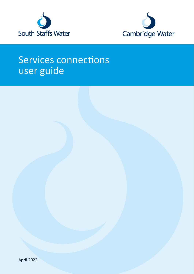



# Services connections user guide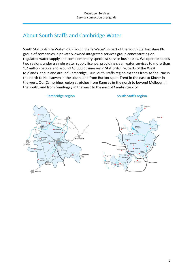# <span id="page-1-0"></span>About South Staffs and Cambridge Water

South Staffordshire Water PLC ('South Staffs Water') is part of the South Staffordshire Plc group of companies, a privately-owned integrated services group concentrating on regulated water supply and complementary specialist service businesses. We operate across two regions under a single water supply licence, providing clean water services to more than 1.7 million people and around 43,000 businesses in Staffordshire, parts of the West Midlands, and in and around Cambridge. Our South Staffs region extends from Ashbourne in the north to Halesowen in the south, and from Burton-upon-Trent in the east to Kinver in the west. Our Cambridge region stretches from Ramsey in the north to beyond Melbourn in the south, and from Gamlingay in the west to the east of Cambridge city.





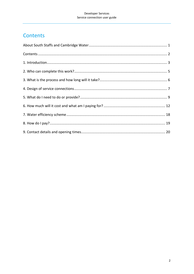# <span id="page-2-0"></span>Contents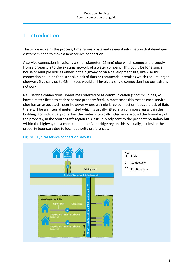### <span id="page-3-0"></span>1. Introduction

This guide explains the process, timeframes, costs and relevant information that developer customers need to make a new service connection.

A service connection is typically a small diameter (25mm) pipe which connects the supply from a property into the existing network of a water company. This could be for a single house or multiple houses either in the highway or on a development site, likewise this connection could be for a school, block of flats or commercial premises which require larger pipework (typically up to 63mm) but would still involve a single connection into our existing network.

New service connections, sometimes referred to as communication ("comm") pipes, will have a meter fitted to each separate property feed. In most cases this means each service pipe has an associated meter however where a single large connection feeds a block of flats there will be an internal meter fitted which is usually fitted in a common area within the building. For individual properties the meter is typically fitted in or around the boundary of the property, in the South Staffs region this is usually adjacent to the property boundary but within the highway (pavement) and in the Cambridge region this is usually just inside the property boundary due to local authority preferences.



#### Figure 1 Typical service connection layouts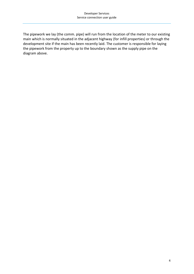The pipework we lay (the comm. pipe) will run from the location of the meter to our existing main which is normally situated in the adjacent highway (for infill properties) or through the development site if the main has been recently laid. The customer is responsible for laying the pipework from the property up to the boundary shown as the supply pipe on the diagram above.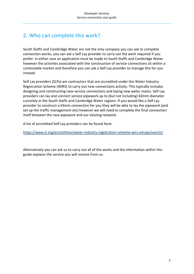# <span id="page-5-0"></span>2. Who can complete this work?

South Staffs and Cambridge Water are not the only company you can ask to complete connection works, you can ask a Self Lay provider to carry out the work required if you prefer. In either case an application must be made to South Staffs and Cambridge Water however the activities associated with the construction of service connections sit within a contestable market and therefore you can ask a Self Lay provider to manage this for you instead.

Self Lay providers (SLPs) are contractors that are accredited under the Water Industry Registration Scheme (WIRS) to carry out new connections activity. This typically includes designing and constructing new service connections and laying new water mains. Self Lay providers can lay and connect service pipework up to (but not including) 63mm diameter currently in the South Staffs and Cambridge Water regions. If you would like a Self Lay provider to construct a 63mm connection for you they will be able to lay the pipework (and set up the traffic management etc) however we will need to complete the final connection itself between the new pipework and our existing network.

A list of accredited Self Lay providers can be found here:

<https://www.lr.org/en/utilities/water-industry-registration-scheme-wirs-wirsae/search/>

Alternatively you can ask us to carry out all of the works and the information within this guide explains the service you will receive from us.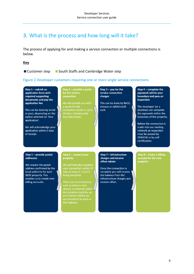### <span id="page-6-0"></span>3. What is the process and how long will it take?

The process of applying for and making a service connection or multiple connections is below.

#### **Key**

■ Customer step ■ South Staffs and Cambridge Water step

#### Figure 2 Developer customers requiring one or more single service connections

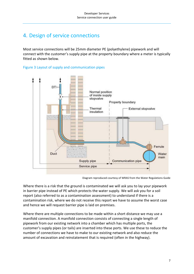### <span id="page-7-0"></span>4. Design of service connections

Most service connections will be 25mm diameter PE (polyethylene) pipework and will connect with the customer's supply pipe at the property boundary where a meter is typically fitted as shown below.





Diagram reproduced courtesy of WRAS from the Water Regulations Guide

Where there is a risk that the ground is contaminated we will ask you to lay your pipework in barrier pipe instead of PE which protects the water supply. We will ask you for a soil report (also referred to as a contamination assessment) to understand if there is a contamination risk, where we do not receive this report we have to assume the worst case and hence we will request barrier pipe is laid on premises.

Where there are multiple connections to be made within a short distance we may use a manifold connection. A manifold connection consists of connecting a single length of pipework from our existing network into a chamber which has multiple ports, the customer's supply pipes (or tails) are inserted into these ports. We use these to reduce the number of connections we have to make to our existing network and also reduce the amount of excavation and reinstatement that is required (often in the highway).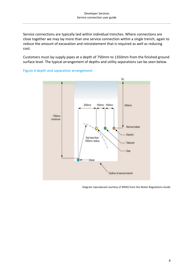Service connections are typically laid within individual trenches. Where connections are close together we may lay more than one service connection within a single trench, again to reduce the amount of excavation and reinstatement that is required as well as reducing cost.

Customers must lay supply pipes at a depth of 750mm to 1350mm from the finished ground surface level. The typical arrangement of depths and utility separations can be seen below.



#### Figure 4 depth and separation arrangement

Diagram reproduced courtesy of WRAS from the Water Regulations Guide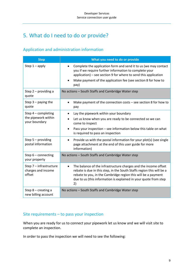# <span id="page-9-0"></span>5. What do I need to do or provide?

### Application and administration information

| <b>Step</b>                                                   | What you need to do or provide                                                                                                                                                                                                                                                                   |
|---------------------------------------------------------------|--------------------------------------------------------------------------------------------------------------------------------------------------------------------------------------------------------------------------------------------------------------------------------------------------|
| Step $1 -$ apply                                              | Complete the application form and send it to us (we may contact<br>you if we require further information to complete your<br>application) – see section 9 for where to send this application<br>Make payment of the application fee (see section 8 for how to<br>$\bullet$<br>pay)               |
| Step $2$ – providing a<br>quote                               | No actions - South Staffs and Cambridge Water step                                                                                                                                                                                                                                               |
| Step $3$ – paying the<br>quote                                | Make payment of the connection costs $-$ see section 8 for how to<br>$\bullet$<br>pay                                                                                                                                                                                                            |
| Step $4$ – completing<br>the pipework within<br>your boundary | Lay the pipework within your boundary<br>Let us know when you are ready to be connected so we can<br>come to inspect<br>Pass your inspection - see information below this table on what<br>$\bullet$                                                                                             |
| Step 5 - providing<br>postal information                      | is required to pass an inspection<br>Provide us with the postal information for your plot(s) (see single<br>page attachment at the end of this user guide for more<br>information)                                                                                                               |
| Step $6$ – connecting<br>your property                        | No actions - South Staffs and Cambridge Water step                                                                                                                                                                                                                                               |
| Step 7 - infrastructure<br>charges and income<br>offset       | The balance of the infrastructure charges and the income offset<br>$\bullet$<br>rebate is due in this step, in the South Staffs region this will be a<br>rebate to you, in the Cambridge region this will be a payment<br>due to us (this information is explained in your quote from step<br>2) |
| Step 8 - creating a<br>new billing account                    | No actions - South Staffs and Cambridge Water step                                                                                                                                                                                                                                               |

### Site requirements – to pass your inspection

When you are ready for us to connect your pipework let us know and we will visit site to complete an inspection.

In order to pass the inspection we will need to see the following: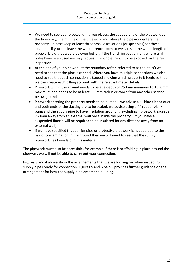- We need to see your pipework in three places; the capped end of the pipework at the boundary, the middle of the pipework and where the pipework enters the property – please keep at least three small excavations (or spy holes) for these locations, if you can leave the whole trench open so we can see the whole length of pipework laid that would be even better. If the trench inspection fails where trial holes have been used we may request the whole trench to be exposed for the reinspection.
- At the end of your pipework at the boundary (often referred to as the 'tails') we need to see that the pipe is capped. Where you have multiple connections we also need to see that each connection is tagged showing which property it feeds so that we can create each billing account with the relevant meter details.
- Pipework within the ground needs to be at a depth of 750mm minimum to 1350mm maximum and needs to be at least 350mm radius distance from any other service below ground
- Pipework entering the property needs to be ducted we advise a  $4$ " blue ribbed duct and both ends of the ducting are to be sealed, we advise using a 4" rubber blank bung and the supply pipe to have insulation around it (excluding if pipework exceeds 750mm away from an external wall once inside the property – if you have a suspended floor it will be required to be insulated for any distance away from an external wall)
- If we have specified that barrier pipe or protective pipework is needed due to the risk of contamination in the ground then we will need to see that the supply pipework has been laid in this material.

The pipework must also be accessible, for example if there is scaffolding in place around the pipework we will not be able to carry out your connection.

Figures 3 and 4 above show the arrangements that we are looking for when inspecting supply pipes ready for connection. Figures 5 and 6 below provides further guidance on the arrangement for how the supply pipe enters the building.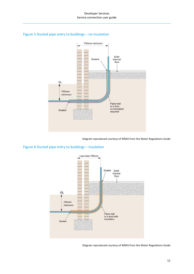#### Developer Services Service connection user guide



#### Figure 5 Ducted pipe entry to buildings – no insulation

Diagram reproduced courtesy of WRAS from the Water Regulations Guide

### Figure 6 Ducted pipe entry to buildings – insulation



Diagram reproduced courtesy of WRAS from the Water Regulations Guide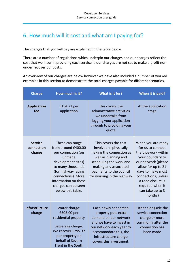# <span id="page-12-0"></span>6. How much will it cost and what am I paying for?

The charges that you will pay are explained in the table below.

There are a number of regulations which underpin our charges and our charges reflect the cost that we incur in providing each service ie our charges are not set to make a profit nor under recover our costs.

An overview of our charges are below however we have also included a number of worked examples in this section to demonstrate the total charges payable for different scenarios.

| <b>Charge</b>                          | How much is it?                                                                                                                                                                                                                    | What is it for?                                                                                                                                                                                                 | When it is paid?                                                                                                                                                                                                                                    |
|----------------------------------------|------------------------------------------------------------------------------------------------------------------------------------------------------------------------------------------------------------------------------------|-----------------------------------------------------------------------------------------------------------------------------------------------------------------------------------------------------------------|-----------------------------------------------------------------------------------------------------------------------------------------------------------------------------------------------------------------------------------------------------|
| <b>Application</b><br>fee              | £154.21 per<br>application                                                                                                                                                                                                         | This covers the<br>administrative activities<br>we undertake from<br>logging your application<br>through to providing your<br>quote                                                                             | At the application<br>stage                                                                                                                                                                                                                         |
| <b>Service</b><br>connection<br>charge | These can range<br>from around £400.00<br>per connection (on<br>unmade<br>development sites)<br>to many thousands<br>(for highway facing<br>connections). More<br>information on these<br>charges can be seen<br>below this table. | This covers the cost<br>involved in physically<br>making the connection as<br>well as planning and<br>scheduling the work and<br>making any associated<br>payments to the council<br>for working in the highway | When you are ready<br>for us to connect<br>the pipework within<br>your boundary to<br>our network (please<br>allow for up to 21<br>days to make most<br>connections, unless<br>a road closure is<br>required when it<br>can take up to 3<br>months) |
| <b>Infrastructure</b><br>charge        | Water charge:<br>£305.00 per<br>residential property<br>Sewerage charge:<br>We recover £295.37<br>per property on<br>behalf of Severn<br>Trent in the South                                                                        | Each newly connected<br>property puts extra<br>demand on our network<br>and we have to invest in<br>our network each year to<br>accommodate this, the<br>infrastructure charge<br>covers this investment.       | Either alongside the<br>service connection<br>charge or more<br>commonly after the<br>connection has<br>been made                                                                                                                                   |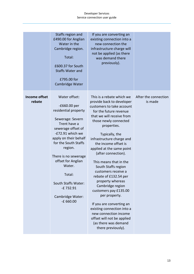#### Developer Services Service connection user guide

|                                | Staffs region and<br>£490.00 for Anglian<br>Water in the<br>Cambridge region.<br>Total:<br>£600.37 for South<br><b>Staffs Water and</b><br>£795.00 for<br>Cambridge Water                                                                                                                                                               | If you are converting an<br>existing connection into a<br>new connection the<br>infrastructure charge will<br>not be applied (as there<br>was demand there<br>previously).                                                                                                                                                                                                                                                                                                                                                                                                                                                                                      |                                 |
|--------------------------------|-----------------------------------------------------------------------------------------------------------------------------------------------------------------------------------------------------------------------------------------------------------------------------------------------------------------------------------------|-----------------------------------------------------------------------------------------------------------------------------------------------------------------------------------------------------------------------------------------------------------------------------------------------------------------------------------------------------------------------------------------------------------------------------------------------------------------------------------------------------------------------------------------------------------------------------------------------------------------------------------------------------------------|---------------------------------|
| <b>Income offset</b><br>rebate | Water offset:<br>-£660.00 per<br>residential property<br>Sewerage: Severn<br>Trent have a<br>sewerage offset of<br>-£72.91 which we<br>apply on their behalf<br>for the South Staffs<br>region.<br>There is no sewerage<br>offset for Anglian<br>Water.<br>Total:<br>South Staffs Water:<br>-£732.91<br>Cambridge Water:<br>$-E 660.00$ | This is a rebate which we<br>provide back to developer<br>customers to take account<br>for the future revenue<br>that we will receive from<br>those newly connected<br>properties.<br>Typically, the<br>infrastructure charge and<br>the income offset is<br>applied at the same point<br>(after connection).<br>This means that in the<br>South Staffs region<br>customers receive a<br>rebate of £132.54 per<br>property whereas<br>Cambridge region<br>customers pay £135.00<br>per property.<br>If you are converting an<br>existing connection into a<br>new connection income<br>offset will not be applied<br>(as there was demand<br>there previously). | After the connection<br>is made |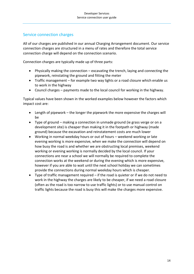### Service connection charges

All of our charges are published in our annual Charging Arrangement document. Our service connection charges are structured in a menu of rates and therefore the total service connection charge will depend on the connection scenario.

Connection charges are typically made up of three parts:

- Physically making the connection excavating the trench, laying and connecting the pipework, reinstating the ground and fitting the meter
- Traffic management for example two way lights or a road closure which enable us to work in the highway
- Council charges payments made to the local council for working in the highway.

Typical values have been shown in the worked examples below however the factors which impact cost are:

- Length of pipework the longer the pipework the more expensive the charges will be
- Type of ground making a connection in unmade ground (ie grass verge or on a development site) is cheaper than making it in the footpath or highway (made ground) because the excavation and reinstatement costs are much lower
- Working in normal weekday hours or out of hours weekend working or late evening working is more expensive, when we make the connection will depend on how busy the road is and whether we are obstructing local premises, weekend working or evening working is normally decided by the local council. If your connections are near a school we will normally be required to complete the connection works at the weekend or during the evening which is more expensive, however if you are able to wait until the next school holiday we can sometimes provide the connections during normal weekday hours which is cheaper.
- Type of traffic management required if the road is quieter or if we do not need to work in the highway the charges are likely to be cheaper, if we need a road closure (often as the road is too narrow to use traffic lights) or to use manual control on traffic lights because the road is busy this will make the charges more expensive.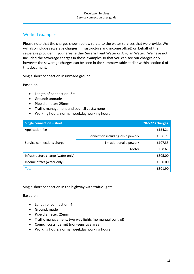### Worked examples

Please note that the charges shown below relate to the water services that we provide. We will also include sewerage charges (infrastructure and income offset) on behalf of the sewerage provider in your area (either Severn Trent Water or Anglian Water). We have not included the sewerage charges in these examples so that you can see our charges only however the sewerage charges can be seen in the summary table earlier within section 6 of this document.

#### Single short connection in unmade ground

Based on:

- Length of connection: 3m
- Ground: unmade
- Pipe diameter: 25mm
- Traffic management and council costs: none
- Working hours: normal weekday working hours

| <b>Single connection - short</b>   |                                  | 2022/23 charges |
|------------------------------------|----------------------------------|-----------------|
| Application fee                    |                                  | £154.21         |
|                                    | Connection including 2m pipework | £356.73         |
| Service connections charge         | 1m additional pipework           | £107.35         |
|                                    | Meter                            | £38.61          |
| Infrastructure charge (water only) |                                  | £305.00         |
| Income offset (water only)         |                                  | -£660.00        |
| <b>Total</b>                       |                                  | £301.90         |

#### Single short connection in the highway with traffic lights

Based on:

- Length of connection: 4m
- Ground: made
- Pipe diameter: 25mm
- Traffic management: two way lights (no manual control)
- Council costs: permit (non-sensitive area)
- Working hours: normal weekday working hours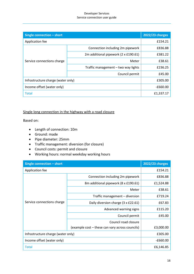#### Developer Services Service connection user guide

| Single connection - short          |                                      | 2022/23 charges |
|------------------------------------|--------------------------------------|-----------------|
| Application fee                    |                                      | £154.21         |
|                                    | Connection including 2m pipework     | £836.88         |
| Service connections charge         | 2m additional pipework (2 x £190.61) | £381.22         |
|                                    | Meter                                | £38.61          |
|                                    | Traffic management - two way lights  | £236.25         |
|                                    | Council permit                       | £45.00          |
| Infrastructure charge (water only) |                                      | £305.00         |
| Income offset (water only)         |                                      | $-£660.00$      |
| <b>Total</b>                       |                                      | £1,337.17       |

#### Single long connection in the highway with a road closure

Based on:

- Length of connection: 10m
- Ground: made
- Pipe diameter: 25mm
- Traffic management: diversion (for closure)
- Council costs: permit and closure
- Working hours: normal weekday working hours

| Single connection - short          |                                                 | <b>2022/23 charges</b> |
|------------------------------------|-------------------------------------------------|------------------------|
| Application fee                    |                                                 | £154.21                |
|                                    | Connection including 2m pipework                | £836.88                |
|                                    | 8m additional pipework (8 x £190.61)            | £1,524.88              |
|                                    | Meter                                           | £38.61                 |
|                                    | Traffic management - diversion                  | £719.24                |
| Service connections charge         | Daily diversion charge (3 x £22.61)             | £67.83                 |
|                                    | Advanced warning signs                          | £115.20                |
|                                    | Council permit                                  | £45.00                 |
|                                    | Council road closure                            |                        |
|                                    | (example cost – these can vary across councils) | £3,000.00              |
| Infrastructure charge (water only) |                                                 | £305.00                |
| Income offset (water only)         |                                                 | $-£660.00$             |
| <b>Total</b>                       |                                                 | £6,146.85              |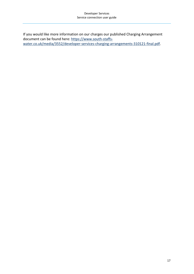If you would like more information on our charges our published Charging Arrangement document can be found here: [https://www.south-staffs](https://www.south-staffs-water.co.uk/media/3552/developer-services-charging-arrangements-310121-final.pdf)[water.co.uk/media/3552/developer-services-charging-arrangements-310121-final.pdf.](https://www.south-staffs-water.co.uk/media/3552/developer-services-charging-arrangements-310121-final.pdf)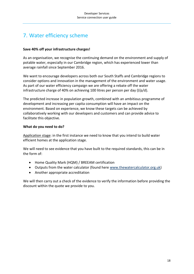# <span id="page-18-0"></span>7. Water efficiency scheme

#### **Save 40% off your infrastructure charges!**

As an organisation, we recognise the continuing demand on the environment and supply of potable water, especially in our Cambridge region, which has experienced lower than average rainfall since September 2016.

We want to encourage developers across both our South Staffs and Cambridge regions to consider options and innovation in the management of the environment and water usage. As part of our water efficiency campaign we are offering a rebate off the water infrastructure charge of 40% on achieving 100 litres per person per day  $(1/p/d)$ .

The predicted increase in population growth, combined with an ambitious programme of development and increasing per capita consumption will have an impact on the environment. Based on experience, we know these targets can be achieved by collaboratively working with our developers and customers and can provide advice to facilitate this objective.

#### **What do you need to do?**

Application stage: in the first instance we need to know that you intend to build water efficient homes at the application stage.

We will need to see evidence that you have built to the required standards, this can be in the form of:

- Home Quality Mark (HQM) / BREEAM certification
- Outputs from the water calculator (found here [www.thewatercalculator.org.uk\)](http://www.thewatercalculator.org.uk/)
- Another appropriate accreditation

We will then carry out a check of the evidence to verify the information before providing the discount within the quote we provide to you.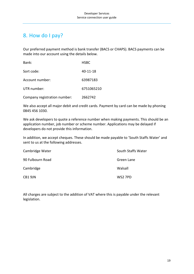# <span id="page-19-0"></span>8. How do I pay?

Our preferred payment method is bank transfer (BACS or CHAPS). BACS payments can be made into our account using the details below.

| Bank:                        | <b>HSBC</b> |
|------------------------------|-------------|
| Sort code:                   | 40-11-18    |
| Account number:              | 63987183    |
| UTR number:                  | 6751065210  |
| Company registration number: | 2662742     |

We also accept all major debit and credit cards. Payment by card can be made by phoning 0845 456 1030.

We ask developers to quote a reference number when making payments. This should be an application number, job number or scheme number. Applications may be delayed if developers do not provide this information.

In addition, we accept cheques. These should be made payable to 'South Staffs Water' and sent to us at the following addresses.

| Cambridge Water  | South Staffs Water |
|------------------|--------------------|
| 90 Fulbourn Road | Green Lane         |
| Cambridge        | Walsall            |
| CB1 9JN          | WS2 7PD            |

All charges are subject to the addition of VAT where this is payable under the relevant legislation.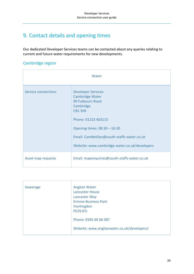# <span id="page-20-0"></span>9. Contact details and opening times

Our dedicated Developer Services teams can be contacted about any queries relating to current and future water requirements for new developments.

### Cambridge region

| Water               |                                                                                                                                                                                                                                                      |
|---------------------|------------------------------------------------------------------------------------------------------------------------------------------------------------------------------------------------------------------------------------------------------|
| Service connections | <b>Developer Services</b><br><b>Cambridge Water</b><br>90 Fulbourn Road<br>Cambridge<br>CB1 9JN<br>Phone: 01223 403115<br>Opening times: 08:30 - 16:30<br>Email: CamNetDev@south-staffs-water.co.uk<br>Website: www.cambridge-water.co.uk/developers |
| Asset map requests  | Email: mapenquiries@south-staffs-water.co.uk                                                                                                                                                                                                         |

| Sewerage | <b>Anglian Water</b>                        |
|----------|---------------------------------------------|
|          | <b>Lancaster House</b>                      |
|          | Lancaster Way                               |
|          | <b>Ermine Business Park</b>                 |
|          | Huntingdon                                  |
|          | <b>PE29 6YJ</b>                             |
|          |                                             |
|          | Phone: 0345 60 66 087                       |
|          |                                             |
|          | Website: www.anglianwater.co.uk/developers/ |
|          |                                             |